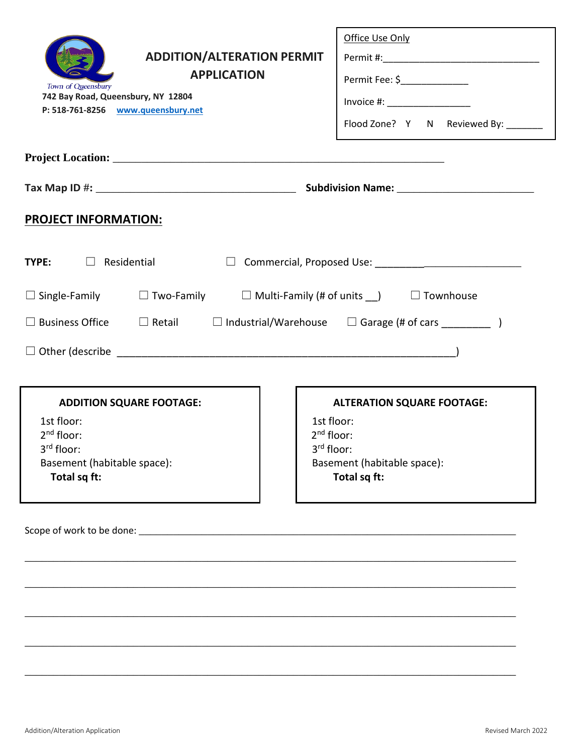|                                                                                                                 | Office Use Only                           |
|-----------------------------------------------------------------------------------------------------------------|-------------------------------------------|
| <b>ADDITION/ALTERATION PERMIT</b>                                                                               |                                           |
| <b>APPLICATION</b><br>Town of Queensbury                                                                        | Permit Fee: \$________________            |
| 742 Bay Road, Queensbury, NY 12804<br>P: 518-761-8256 www.queensbury.net                                        | $Invoice #: __________$                   |
|                                                                                                                 | Flood Zone? Y N Reviewed By: _______      |
|                                                                                                                 |                                           |
|                                                                                                                 |                                           |
| <b>PROJECT INFORMATION:</b>                                                                                     |                                           |
| <b>TYPE:</b> $\Box$ Residential<br>$\Box$                                                                       |                                           |
| $\square$ Single-Family $\square$ Two-Family $\square$ Multi-Family (# of units $\square$ ) $\square$ Townhouse |                                           |
| $\Box$ Business Office $\Box$ Retail $\Box$ Industrial/Warehouse $\Box$ Garage (# of cars _________ )           |                                           |
|                                                                                                                 |                                           |
|                                                                                                                 |                                           |
| <b>ADDITION SQUARE FOOTAGE:</b>                                                                                 | <b>ALTERATION SQUARE FOOTAGE:</b>         |
| 1st floor:                                                                                                      | 1st floor:                                |
| $2nd$ floor:                                                                                                    | $2nd$ floor:                              |
| 3 <sup>rd</sup> floor:<br>Basement (habitable space):                                                           | 3rd floor:<br>Basement (habitable space): |
| Total sq ft:                                                                                                    | Total sq ft:                              |
|                                                                                                                 |                                           |
|                                                                                                                 |                                           |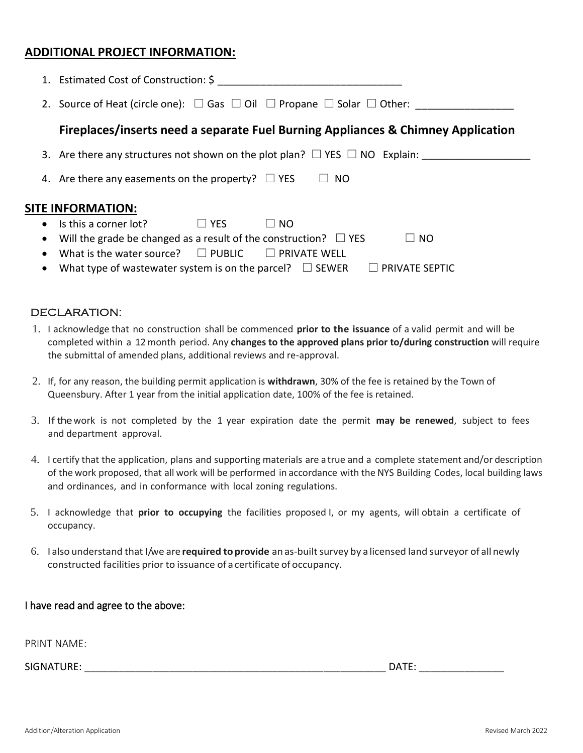#### **ADDITIONAL PROJECT INFORMATION:**

|           | 1. Estimated Cost of Construction: \$                                                                          |  |
|-----------|----------------------------------------------------------------------------------------------------------------|--|
|           | 2. Source of Heat (circle one): $\square$ Gas $\square$ Oil $\square$ Propane $\square$ Solar $\square$ Other: |  |
|           | Fireplaces/inserts need a separate Fuel Burning Appliances & Chimney Application                               |  |
|           | 3. Are there any structures not shown on the plot plan? $\square$ YES $\square$ NO Explain:                    |  |
|           | 4. Are there any easements on the property? $\Box$ YES<br>NO.                                                  |  |
|           | <b>SITE INFORMATION:</b>                                                                                       |  |
|           | • Is this a corner lot?<br>$\Box$ YES<br>NO.                                                                   |  |
|           | Will the grade be changed as a result of the construction? $\Box$ YES<br>$\Box$ NO                             |  |
|           | What is the water source? $\square$ PUBLIC $\square$ PRIVATE WELL                                              |  |
| $\bullet$ | What type of wastewater system is on the parcel? $\square$ SEWER<br>$\Box$ PRIVATE SEPTIC                      |  |

#### DECLARATION:

- 1. I acknowledge that no construction shall be commenced **prior to the issuance** of a valid permit and will be completed within a 12 month period. Any **changes to the approved plans prior to/during construction** will require the submittal of amended plans, additional reviews and re-approval.
- 2. If, for any reason, the building permit application is **withdrawn**, 30% of the fee is retained by the Town of Queensbury. After 1 year from the initial application date, 100% of the fee is retained.
- 3. Ifthe work is not completed by the 1 year expiration date the permit **may be renewed**, subject to fees and department approval.
- 4. I certify that the application, plans and supporting materials are a true and a complete statement and/or description of the work proposed, that all work will be performed in accordance with the NYS Building Codes, local building laws and ordinances, and in conformance with local zoning regulations.
- 5. I acknowledge that **prior to occupying** the facilities proposed I, or my agents, will obtain a certificate of occupancy.
- 6. I also understand that I/we are **required toprovide** an as-builtsurvey by a licensed land surveyor of all newly constructed facilities prior to issuance of acertificate of occupancy.

#### I have read and agree to the above:

PRINT NAME:

SIGNATURE: \_\_\_\_\_\_\_\_\_\_\_\_\_\_\_\_\_\_\_\_\_\_\_\_\_\_\_\_\_\_\_\_\_\_\_\_\_\_\_\_\_\_\_\_\_\_\_\_\_\_\_\_\_ DATE: \_\_\_\_\_\_\_\_\_\_\_\_\_\_\_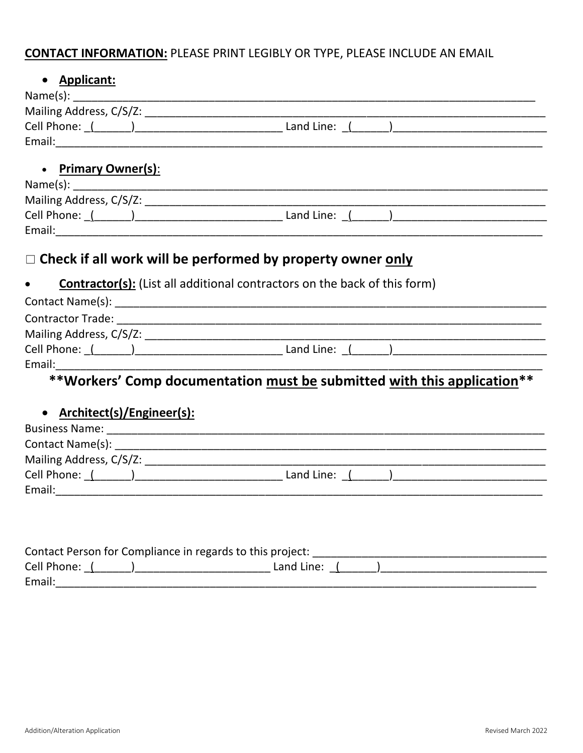## **CONTACT INFORMATION: PLEASE PRINT LEGIBLY OR TYPE, PLEASE INCLUDE AN EMAIL**

### • Applicant:

| Name(s):                |            |  |
|-------------------------|------------|--|
| Mailing Address, C/S/Z: |            |  |
| Cell Phone:             | Land Line: |  |
| Email:                  |            |  |
|                         |            |  |

#### **Primary Owner(s):**  $\bullet$

| Name(s):                |            |
|-------------------------|------------|
| Mailing Address, C/S/Z: |            |
| Cell Phone:             | Land Line: |
| Email:                  |            |

# □ Check if all work will be performed by property owner only

#### **Contractor(s):** (List all additional contractors on the back of this form)

| Contact Name(s):         |            |  |
|--------------------------|------------|--|
| <b>Contractor Trade:</b> |            |  |
| Mailing Address, C/S/Z:  |            |  |
| Cell Phone:              | Land Line: |  |
| Email:                   |            |  |

## \*\*Workers' Comp documentation must be submitted with this application \*\*

#### Architect(s)/Engineer(s):  $\bullet$

| <b>Business Name:</b>   |              |  |
|-------------------------|--------------|--|
| Contact Name(s):        |              |  |
| Mailing Address, C/S/Z: |              |  |
| Cell Phone: (           | Land Line: ( |  |
| Email:                  |              |  |

|               | Contact Person for Compliance in regards to this project: |  |
|---------------|-----------------------------------------------------------|--|
| Cell Phone: ( | Land Line:                                                |  |
| Email:        |                                                           |  |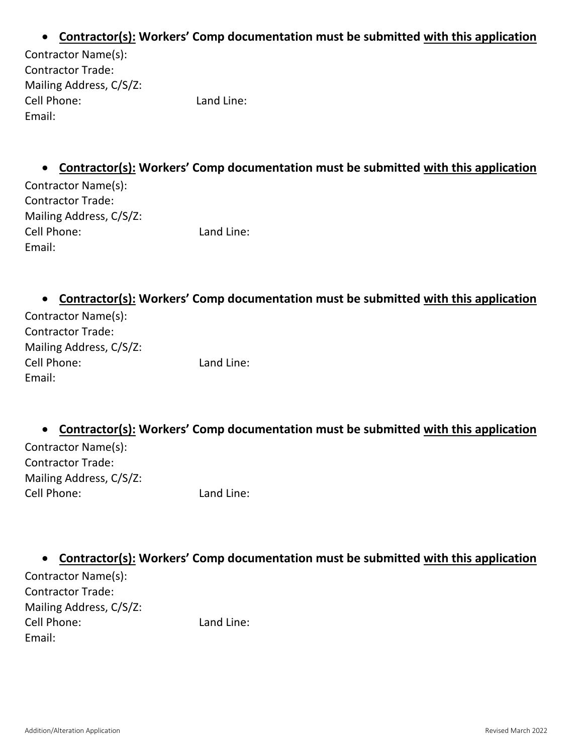### **Contractor(s): Workers' Comp documentation must be submitted with this application**

| Contractor Name(s):      |            |
|--------------------------|------------|
| <b>Contractor Trade:</b> |            |
| Mailing Address, C/S/Z:  |            |
| Cell Phone:              | Land Line: |
| Email:                   |            |

**Contractor(s): Workers' Comp documentation must be submitted with this application**

| Contractor Name(s):      |            |
|--------------------------|------------|
| <b>Contractor Trade:</b> |            |
| Mailing Address, C/S/Z:  |            |
| Cell Phone:              | Land Line: |
| Email:                   |            |

**Contractor(s): Workers' Comp documentation must be submitted with this application**

| Contractor Name(s):      |            |
|--------------------------|------------|
| <b>Contractor Trade:</b> |            |
| Mailing Address, C/S/Z:  |            |
| Cell Phone:              | Land Line: |
| Email:                   |            |

**Contractor(s): Workers' Comp documentation must be submitted with this application**

Contractor Name(s): Contractor Trade: Mailing Address, C/S/Z: Cell Phone: Land Line:

**Contractor(s): Workers' Comp documentation must be submitted with this application**

Contractor Name(s): Contractor Trade: Mailing Address, C/S/Z: Cell Phone: Land Line: Email: